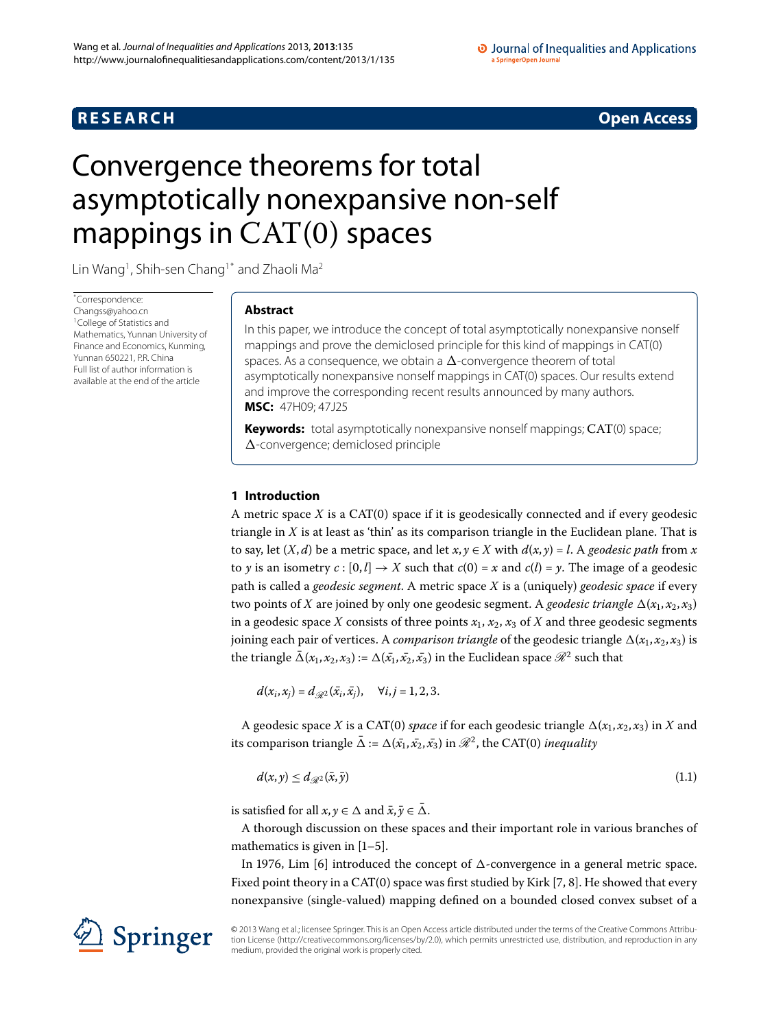## **R E S E A R C H Open Access**

#### O Journal of Inequalities and Applications a SpringerOpen Journal

# <span id="page-0-0"></span>Convergence theorems for total asymptotically nonexpansive non-self mappings in  $CAT(0)$  spaces

Lin Wang<sup>[1](#page-9-0)</sup>, Shih-sen Chang<sup>1[\\*](#page-0-0)</sup> and Zhaoli Ma<sup>[2](#page-9-1)</sup>

\* Correspondence: [Changss@yahoo.cn](mailto:Changss@yahoo.cn) <sup>1</sup> College of Statistics and Mathematics, Yunnan University of Finance and Economics, Kunming, Yunnan 650221, P.R. China Full list of author information is available at the end of the article

### **Abstract**

In this paper, we introduce the concept of total asymptotically nonexpansive nonself mappings and prove the demiclosed principle for this kind of mappings in CAT(0) spaces. As a consequence, we obtain a  $\Delta$ -convergence theorem of total asymptotically nonexpansive nonself mappings in CAT(0) spaces. Our results extend and improve the corresponding recent results announced by many authors. **MSC:** 47H09; 47J25

**Keywords:** total asymptotically nonexpansive nonself mappings; CAT(0) space; *-*-convergence; demiclosed principle

#### **1 Introduction**

A metric space  $X$  is a CAT(0) space if it is geodesically connected and if every geodesic triangle in *X* is at least as 'thin' as its comparison triangle in the Euclidean plane. That is to say, let  $(X, d)$  be a metric space, and let  $x, y \in X$  with  $d(x, y) = l$ . A *geodesic path* from *x* to *y* is an isometry  $c : [0, l] \rightarrow X$  such that  $c(0) = x$  and  $c(l) = y$ . The image of a geodesic path is called a *geodesic segment*. A metric space *X* is a (uniquely) *geodesic space* if every two points of  $X$  are joined by only one geodesic segment. A *geodesic triangle*  $\Delta(x_1, x_2, x_3)$ in a geodesic space *X* consists of three points  $x_1$ ,  $x_2$ ,  $x_3$  of *X* and three geodesic segments joining each pair of vertices. A *comparison triangle* of the geodesic triangle  $\Delta(x_1,x_2,x_3)$  is the triangle  $\bar{\Delta}(x_1, x_2, x_3) := \Delta(\bar{x_1}, \bar{x_2}, \bar{x_3})$  in the Euclidean space  $\mathscr{R}^2$  such that

$$
d(x_i,x_j) = d_{\mathcal{R}^2}(\bar{x}_i,\bar{x}_j), \quad \forall i,j = 1,2,3.
$$

A geodesic space *X* is a CAT(0) *space* if for each geodesic triangle  $\Delta(x_1, x_2, x_3)$  in *X* and its comparison triangle  $\bar{\Delta}$  :=  $\Delta(\bar{x_1}, \bar{x_2}, \bar{x_3})$  in  $\mathscr{R}^2$ , the CAT(0) *inequality* 

$$
d(x, y) \leq d_{\mathscr{R}^2}(\bar{x}, \bar{y}) \tag{1.1}
$$

is satisfied for all  $x, y \in \Delta$  and  $\bar{x}, \bar{y} \in \bar{\Delta}$ .

A thorough discussion on these spaces and their important role in various branches of mathematics is given in  $[1-5]$  $[1-5]$ .

In 1976, Lim [\[](#page-9-4)6] introduced the concept of  $\Delta$ -convergence in a general metric space. Fixed point theory in a CAT(0) space was first studied by Kirk  $[7, 8]$  $[7, 8]$ . He showed that every nonexpansive (single-valued) mapping defined on a bounded closed convex subset of a



© 2013 Wang et al.; licensee Springer. This is an Open Access article distributed under the terms of the Creative Commons Attribution License ([http://creativecommons.org/licenses/by/2.0\)](http://creativecommons.org/licenses/by/2.0), which permits unrestricted use, distribution, and reproduction in any medium, provided the original work is properly cited.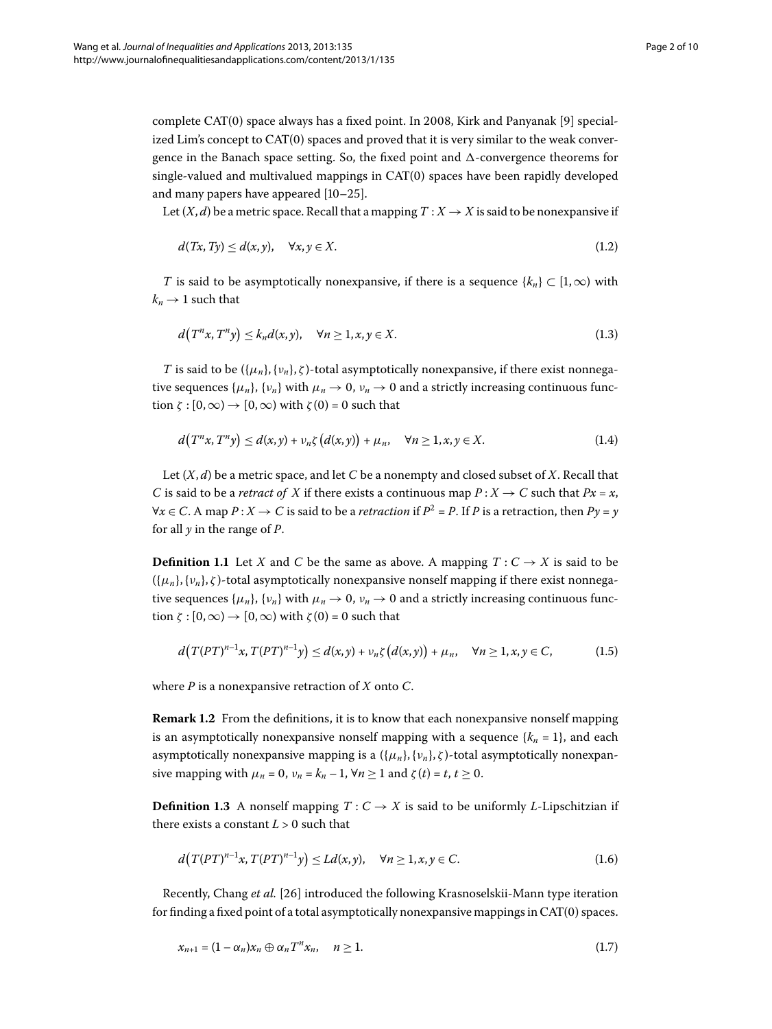complete CAT(0) space always has a fixed point. In 2008, Kirk and Panyanak [9] specialized Lim's concept to  $CAT(0)$  spaces and proved that it is very similar to the weak convergence in the Banach space setting. So, the fixed point and  $\Delta$ -convergence theorems for single-valued and multivalued mappings in  $CAT(0)$  spaces have been rapidly developed and many papers have appeared  $[10-25]$ .

Let  $(X, d)$  be a metric space. Recall that a mapping  $T : X \to X$  is said to be nonexpansive if

$$
d(Tx, Ty) \le d(x, y), \quad \forall x, y \in X. \tag{1.2}
$$

*T* is said to be asymptotically nonexpansive, if there is a sequence  $\{k_n\} \subset [1,\infty)$  with  $k_n \rightarrow 1$  such that

$$
d(T^n x, T^n y) \le k_n d(x, y), \quad \forall n \ge 1, x, y \in X.
$$
\n
$$
(1.3)
$$

*T* is said to be  $({\mu_n}, {\nu_n}, \zeta)$ -total asymptotically nonexpansive, if there exist nonnegative sequences  $\{\mu_n\}$ ,  $\{\nu_n\}$  with  $\mu_n \to 0$ ,  $\nu_n \to 0$  and a strictly increasing continuous function  $\zeta$  :  $[0,\infty) \rightarrow [0,\infty)$  with  $\zeta(0) = 0$  such that

$$
d(T^n x, T^n y) \le d(x, y) + \nu_n \zeta(d(x, y)) + \mu_n, \quad \forall n \ge 1, x, y \in X. \tag{1.4}
$$

Let (*X*, *d*) be a metric space, and let *C* be a nonempty and closed subset of *X*. Recall that *C* is said to be a *retract of X* if there exists a continuous map  $P: X \to C$  such that  $Px = x$ , *∀x* ∈ *C*. A map *P* : *X* → *C* is said to be a *retraction* if  $P^2 = P$ . If *P* is a retraction, then  $Py = y$ for all *y* in the range of *P*.

**Definition 1.1** Let *X* and *C* be the same as above. A mapping  $T: C \rightarrow X$  is said to be  $({\mu_n},{\nu_n},\zeta)$ -total asymptotically nonexpansive nonself mapping if there exist nonnegative sequences { $\mu_n$ }, { $\nu_n$ } with  $\mu_n \to 0$ ,  $\nu_n \to 0$  and a strictly increasing continuous function  $\zeta$  :  $[0,\infty) \rightarrow [0,\infty)$  with  $\zeta(0) = 0$  such that

$$
d(T(PT)^{n-1}x, T(PT)^{n-1}y) \le d(x,y) + \nu_n \zeta(d(x,y)) + \mu_n, \quad \forall n \ge 1, x, y \in C,
$$
 (1.5)

where *P* is a nonexpansive retraction of *X* onto *C*.

**Remark 1.2** From the definitions, it is to know that each nonexpansive nonself mapping is an asymptotically nonexpansive nonself mapping with a sequence  $\{k_n = 1\}$ , and each asymptotically nonexpansive mapping is a  $({\mu_n}, {\nu_n}, \zeta)$ -total asymptotically nonexpansive mapping with  $\mu_n = 0$ ,  $\nu_n = k_n - 1$ ,  $\forall n \ge 1$  and  $\zeta(t) = t$ ,  $t \ge 0$ .

**Definition 1.3** A nonself mapping  $T: C \rightarrow X$  is said to be uniformly *L*-Lipschitzian if there exists a constant  $L > 0$  such that

$$
d(T(PT)^{n-1}x, T(PT)^{n-1}y) \le Ld(x, y), \quad \forall n \ge 1, x, y \in C.
$$
 (1.6)

Recently, Chang *et al.* [\[](#page-9-10)26] introduced the following Krasnoselskii-Mann type iteration for finding a fixed point of a total asymptotically nonexpansive mappings in  $CAT(0)$  spaces.

$$
x_{n+1} = (1 - \alpha_n)x_n \oplus \alpha_n T^n x_n, \quad n \ge 1.
$$
\n
$$
(1.7)
$$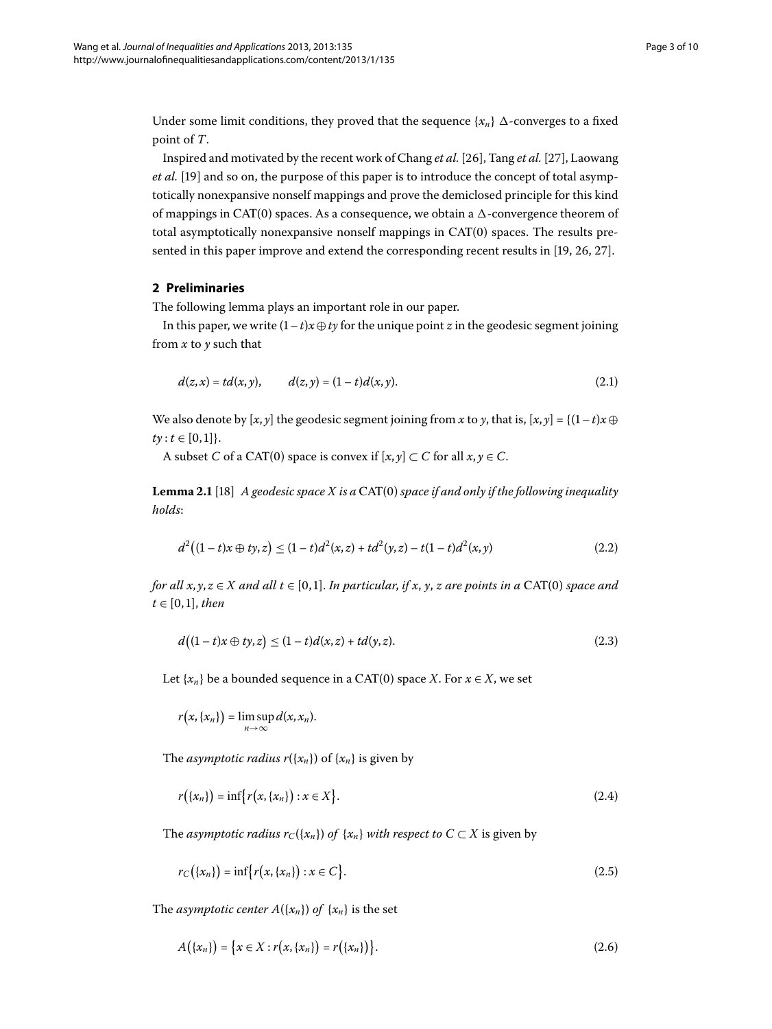Under some limit conditions, they proved that the sequence  $\{x_n\}$   $\Delta$ -converges to a fixed point of *T*.

Inspired and motivated by the recent work of Chang *et al.* [\[](#page-9-11)26], Tang *et al.* [27], Laowang *et al.* [19[\]](#page-9-12) and so on, the purpose of this paper is to introduce the concept of total asymptotically nonexpansive nonself mappings and prove the demiclosed principle for this kind of mappings in CAT(0) spaces. As a consequence, we obtain a  $\Delta$ -convergence theorem of total asymptotically nonexpansive nonself mappings in  $CAT(0)$  spaces. The results presented in this paper improve and extend the corresponding recent results in  $[19, 26, 27]$  $[19, 26, 27]$ .

#### **2 Preliminaries**

The following lemma plays an important role in our paper.

In this paper, we write  $(1-t)x \oplus ty$  for the unique point *z* in the geodesic segment joining from *x* to *y* such that

<span id="page-2-0"></span>
$$
d(z,x) = td(x,y), \qquad d(z,y) = (1-t)d(x,y). \tag{2.1}
$$

We also denote by  $[x, y]$  the geodesic segment joining from *x* to *y*, that is,  $[x, y] = \{(1-t)x \oplus y$  $ty: t \in [0, 1]$ .

A subset *C* of a CAT(0) space is convex if  $[x, y] \subset C$  for all  $x, y \in C$ .

Lemma 2.1 [18] *A geodesic space X is a* CAT(0) *space if and only if the following inequality holds*:

$$
d^{2}((1-t)x \oplus ty, z) \le (1-t)d^{2}(x, z) + td^{2}(y, z) - t(1-t)d^{2}(x, y)
$$
\n(2.2)

*for all x*,  $y, z \in X$  *and all t*  $\in [0, 1]$ *. In particular, if x, y, z are points in a* CAT(0) *space and*  $t \in [0, 1]$ *, then* 

$$
d((1-t)x \oplus ty, z) \le (1-t)d(x, z) + td(y, z).
$$
\n(2.3)

Let  $\{x_n\}$  be a bounded sequence in a CAT(0) space *X*. For  $x \in X$ , we set

$$
r(x,\{x_n\})=\limsup_{n\to\infty}d(x,x_n).
$$

The *asymptotic radius*  $r({x_n})$  of  ${x_n}$  is given by

$$
r(\{x_n\}) = \inf \{r(x, \{x_n\}) : x \in X\}.
$$
 (2.4)

The *asymptotic radius*  $r_C({x_n})$  *of*  $\{x_n\}$  *with respect to*  $C \subset X$  is given by

$$
r_C(\{x_n\}) = \inf \{r(x, \{x_n\}) : x \in C\}.
$$
\n(2.5)

The *asymptotic center*  $A({x_n})$  *of*  ${x_n}$  is the set

$$
A(\{x_n\}) = \{x \in X : r(x, \{x_n\}) = r(\{x_n\})\}.
$$
\n(2.6)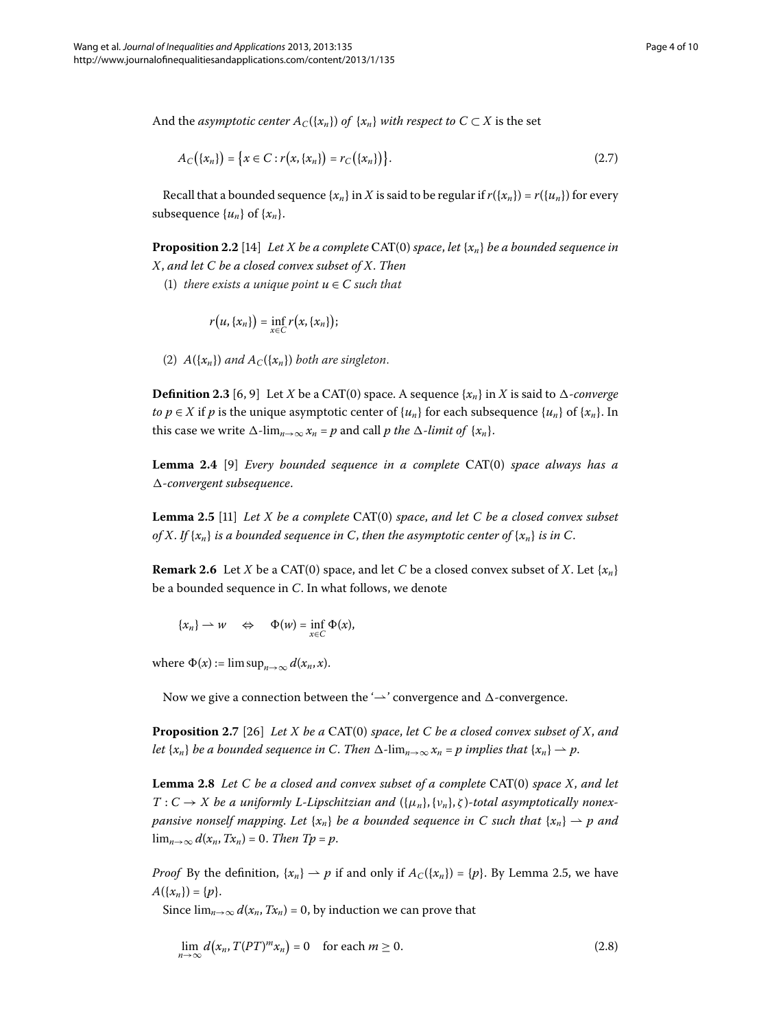And the *asymptotic center*  $A_C({x_n})$  *of*  $\{x_n\}$  *with respect to*  $C \subset X$  is the set

$$
A_C(\{x_n\}) = \{x \in C : r(x, \{x_n\}) = r_C(\{x_n\})\}.
$$
\n(2.7)

Recall that a bounded sequence { $x_n$ } in *X* is said to be regular if  $r({x_n}) = r({u_n})$  for every subsequence  $\{u_n\}$  of  $\{x_n\}$ .

**Proposition 2.2** [14] *Let X be a complete* CAT(0) *space*, *let*  $\{x_n\}$  *be a bounded sequence in X*, *and let C be a closed convex subset of X*. *Then*

(1) *there exists a unique point*  $u \in C$  *such that* 

$$
r(u,\{x_n\})=\inf_{x\in C}r(x,\{x_n\});
$$

<span id="page-3-3"></span>(2)  $A(\lbrace x_n \rbrace)$  and  $A_C(\lbrace x_n \rbrace)$  both are singleton.

<span id="page-3-0"></span>**Definition 2.3** [6, 9[\]](#page-9-7) Let *X* be a CAT(0) space. A sequence  $\{x_n\}$  in *X* is said to  $\Delta$ -*converge to*  $p \in X$  if  $p$  is the unique asymptotic center of  $\{u_n\}$  for each subsequence  $\{u_n\}$  of  $\{x_n\}$ . In this case we write  $\Delta$ - $\lim_{n\to\infty} x_n = p$  and call *p the*  $\Delta$ -*limit of*  $\{x_n\}$ .

**Lemma 2.4** [9[\]](#page-9-7) *Every bounded sequence in a complete* CAT(0) *space always has a --convergent subsequence*.

**Lemma 2.5** [11] *Let X be a complete* CAT(0) *space*, *and let C be a closed convex subset of X*. *If*  $\{x_n\}$  *is a bounded sequence in C, then the asymptotic center of*  $\{x_n\}$  *is in C.* 

**Remark 2.6** Let *X* be a CAT(0) space, and let *C* be a closed convex subset of *X*. Let  $\{x_n\}$ be a bounded sequence in *C*. In what follows, we denote

$$
\{x_n\} \rightharpoonup w \quad \Leftrightarrow \quad \Phi(w) = \inf_{x \in C} \Phi(x),
$$

<span id="page-3-2"></span>where  $\Phi(x) := \limsup_{n \to \infty} d(x_n, x)$ .

Now we give a connection between the ' $\rightharpoonup$  ' convergence and  $\Delta$ -convergence.

**Proposition 2.7** [26] *Let X be a* CAT(0) *space*, *let C be a closed convex subset of X, and* Let  $\{x_n\}$  be a bounded sequence in C. Then  $\Delta$ - $\lim_{n\to\infty} x_n = p$  implies that  $\{x_n\} \to p$ .

**Lemma 2.8** Let C be a closed and convex subset of a complete CAT(0) space X, and let  $T: C \to X$  be a uniformly L-Lipschitzian and  $(\{\mu_n\}, \{\nu_n\}, \zeta)$ -total asymptotically nonex*pansive nonself mapping. Let*  $\{x_n\}$  *be a bounded sequence in C such that*  $\{x_n\} \to p$  *and*  $\lim_{n\to\infty} d(x_n, Tx_n) = 0$ . *Then Tp* = *p*.

*Proof* By the definition,  $\{x_n\} \to p$  if and only if  $A_C(\{x_n\}) = \{p\}$ . By Lemma 2.5, we have  $A({x_n}) = {p}.$ 

Since  $\lim_{n\to\infty} d(x_n, Tx_n) = 0$ , by induction we can prove that

<span id="page-3-1"></span>
$$
\lim_{n \to \infty} d(x_n, T(PT)^m x_n) = 0 \quad \text{for each } m \ge 0.
$$
\n(2.8)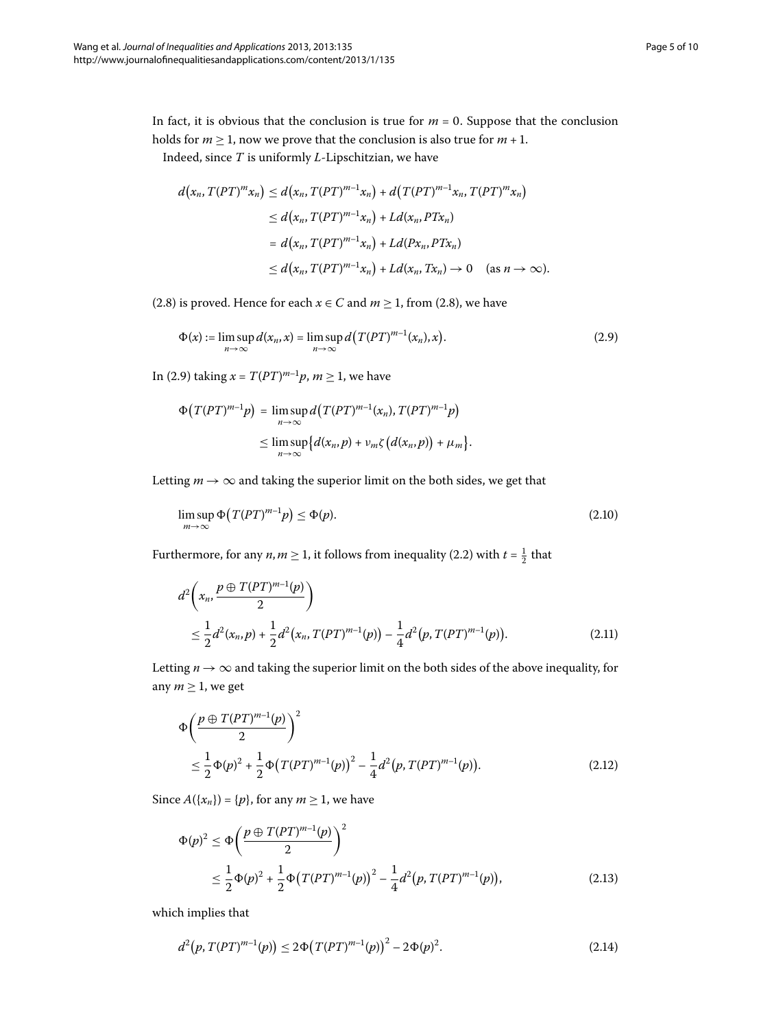In fact, it is obvious that the conclusion is true for  $m = 0$ . Suppose that the conclusion holds for  $m \geq 1$ , now we prove that the conclusion is also true for  $m + 1$ .

Indeed, since *T* is uniformly *L*-Lipschitzian, we have

<span id="page-4-0"></span>
$$
d(x_n, T(PT)^m x_n) \le d(x_n, T(PT)^{m-1} x_n) + d(T(PT)^{m-1} x_n, T(PT)^m x_n)
$$
  
\n
$$
\le d(x_n, T(PT)^{m-1} x_n) + L d(x_n, PT x_n)
$$
  
\n
$$
= d(x_n, T(PT)^{m-1} x_n) + L d(Px_n, PT x_n)
$$
  
\n
$$
\le d(x_n, T(PT)^{m-1} x_n) + L d(x_n, Tx_n) \to 0 \quad \text{(as } n \to \infty).
$$

(2.8) is proved. Hence for each  $x \in C$  and  $m \ge 1$ , from (2.8), we have

$$
\Phi(x) := \limsup_{n \to \infty} d(x_n, x) = \limsup_{n \to \infty} d\big(T(PT)^{m-1}(x_n), x\big).
$$
\n(2.9)

In (2[.](#page-4-0)9) taking  $x = T(PT)^{m-1}p$ ,  $m \ge 1$ , we have

<span id="page-4-1"></span>
$$
\Phi\big(T(PT)^{m-1}p\big) = \limsup_{n \to \infty} d\big(T(PT)^{m-1}(x_n), T(PT)^{m-1}p\big) \leq \limsup_{n \to \infty} \big\{d(x_n, p) + \nu_m \zeta\big(d(x_n, p)\big) + \mu_m\big\}.
$$

Letting  $m \to \infty$  and taking the superior limit on the both sides, we get that

$$
\limsup_{m \to \infty} \Phi\big(T(PT)^{m-1}p\big) \le \Phi(p). \tag{2.10}
$$

Furthermore, for any  $n, m \ge 1$ , it follows from inequality (2[.](#page-2-0)2) with  $t = \frac{1}{2}$  that

$$
d^{2}\left(x_{n}, \frac{p \oplus T(PT)^{m-1}(p)}{2}\right)
$$
  
 
$$
\leq \frac{1}{2}d^{2}(x_{n}, p) + \frac{1}{2}d^{2}(x_{n}, T(PT)^{m-1}(p)) - \frac{1}{4}d^{2}(p, T(PT)^{m-1}(p)).
$$
 (2.11)

Letting  $n \to \infty$  and taking the superior limit on the both sides of the above inequality, for any  $m \geq 1$ , we get

$$
\Phi\left(\frac{p \oplus T(PT)^{m-1}(p)}{2}\right)^2
$$
\n
$$
\leq \frac{1}{2}\Phi(p)^2 + \frac{1}{2}\Phi\left(T(PT)^{m-1}(p)\right)^2 - \frac{1}{4}d^2(p, T(PT)^{m-1}(p)).\tag{2.12}
$$

Since  $A({x_n}) = {p}$ , for any  $m \ge 1$ , we have

<span id="page-4-2"></span>
$$
\Phi(p)^2 \le \Phi\left(\frac{p \oplus T(PT)^{m-1}(p)}{2}\right)^2
$$
  
 
$$
\le \frac{1}{2}\Phi(p)^2 + \frac{1}{2}\Phi\left(T(PT)^{m-1}(p)\right)^2 - \frac{1}{4}d^2(p, T(PT)^{m-1}(p)), \tag{2.13}
$$

which implies that

$$
d^{2}(p, T(PT)^{m-1}(p)) \le 2\Phi(T(PT)^{m-1}(p))^{2} - 2\Phi(p)^{2}.
$$
 (2.14)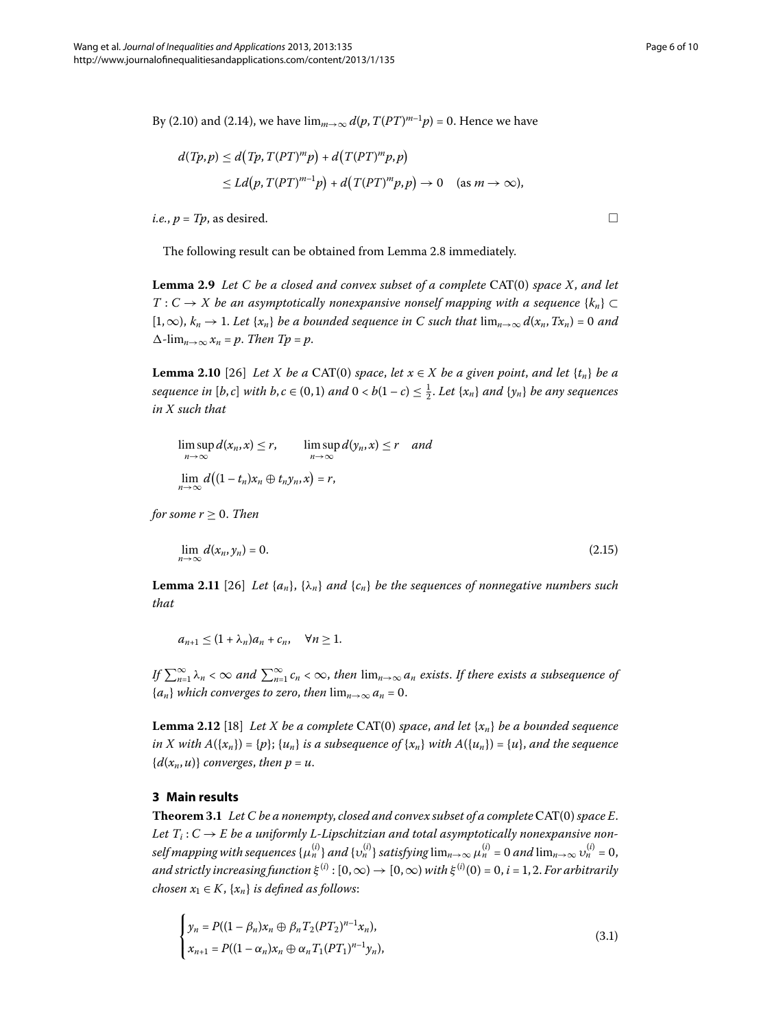$\Box$ 

By (2[.](#page-4-2)10) and (2.14), we have  $\lim_{m\to\infty} d(p, T(PT)^{m-1}p) = 0$ . Hence we have

$$
d(Tp,p) \le d(Tp,T(PT)^m p) + d(T(PT)^m p,p)
$$
  
\n
$$
\le Ld(p,T(PT)^{m-1}p) + d(T(PT)^m p,p) \to 0 \quad (as \, m \to \infty),
$$

 $i.e., p = Tp$ , as desired.

<span id="page-5-2"></span>The following result can be obtained from Lemma 2[.](#page-3-2)8 immediately.

**Lemma 2.9** Let C be a closed and convex subset of a complete CAT(0) space X, and let *T* : *C* → *X* be an asymptotically nonexpansive nonself mapping with a sequence { $k_n$ } ⊂  $[1,\infty)$ ,  $k_n \to 1$ . Let  $\{x_n\}$  be a bounded sequence in C such that  $\lim_{n\to\infty} d(x_n, Tx_n) = 0$  and  $\Delta$ - $\lim_{n\to\infty} x_n = p$ . *Then Tp* = *p*.

**Lemma 2.10** [26] *Let X be a* CAT(0) *space*, *let*  $x \in X$  *be a given point, and let*  $\{t_n\}$  *be a sequence in*  $[b, c]$  *with*  $b, c \in (0, 1)$  *and*  $0 < b(1 - c) \leq \frac{1}{2}$ . Let  $\{x_n\}$  *and*  $\{y_n\}$  *be any sequences in X such that*

<span id="page-5-1"></span>lim sup  $\limsup_{n\to\infty} d(x_n, x) \leq r$ ,  $\limsup_{n\to\infty} d(y_n, x) \leq r$  and  $\lim_{n\to\infty}d\big((1-t_n)x_n\oplus t_ny_n,x\big)=r,$ 

*for some*  $r > 0$ *. Then* 

$$
\lim_{n \to \infty} d(x_n, y_n) = 0. \tag{2.15}
$$

<span id="page-5-3"></span>**Lemma 2.11** [26] Let  $\{a_n\}$ ,  $\{\lambda_n\}$  *and*  $\{c_n\}$  *be the sequences of nonnegative numbers such that*

 $a_{n+1} \leq (1 + \lambda_n)a_n + c_n, \quad \forall n \geq 1.$ 

*If*  $\sum_{n=1}^{\infty} \lambda_n < \infty$  and  $\sum_{n=1}^{\infty} c_n < \infty$ , then  $\lim_{n\to\infty} a_n$  exists. If there exists a subsequence of  ${a_n}$  *which converges to zero, then*  $\lim_{n\to\infty} a_n = 0$ .

**Lemma 2.12** [18[\]](#page-9-13) Let X be a complete CAT(0) space, and let  $\{x_n\}$  be a bounded sequence *in X with A*({ $x_n$ }) = {*p*};  $\{u_n\}$  *is a subsequence of*  $\{x_n\}$  *with A*({ $u_n$ }) = {*u*}, *and the sequence*  ${d(x_n, u)}$  *converges, then p = u.* 

#### **3 Main results**

**Theorem 3.1** Let C be a nonempty, closed and convex subset of a complete CAT(0) space E. Let  $T_i: C \to E$  be a uniformly L-Lipschitzian and total asymptotically nonexpansive nonself mapping with sequences  $\{\mu_n^{(i)}\}$  and  $\{v_n^{(i)}\}$  satisfying  $\lim_{n\to\infty}\mu_n^{(i)}$  = 0 and  $\lim_{n\to\infty}v_n^{(i)}$  = 0, *and strictly increasing function*  $\xi^{(i)}$ :  $[0, \infty) \to [0, \infty)$  *with*  $\xi^{(i)}(0) = 0$ , *i* = 1, 2. *For arbitrarily chosen*  $x_1 \in K$ ,  $\{x_n\}$  *is defined as follows:* 

<span id="page-5-0"></span>
$$
\begin{cases}\n y_n = P((1 - \beta_n)x_n \oplus \beta_n T_2 (PT_2)^{n-1} x_n), \\
 x_{n+1} = P((1 - \alpha_n)x_n \oplus \alpha_n T_1 (PT_1)^{n-1} y_n),\n\end{cases}
$$
\n(3.1)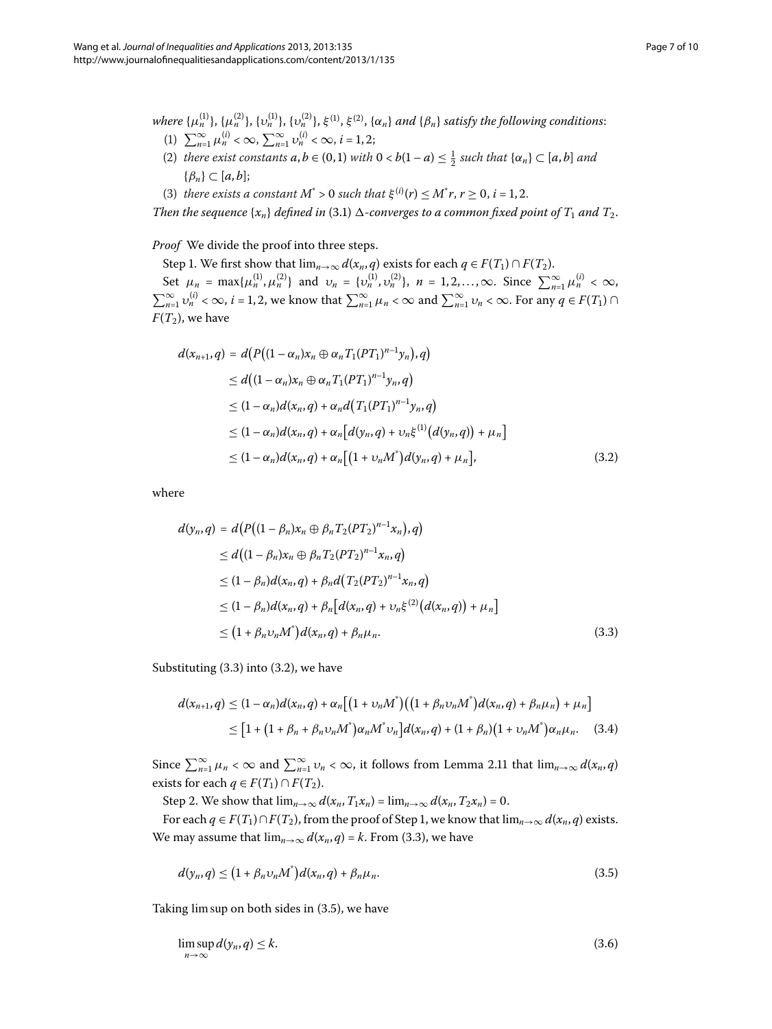- $a_n$  *where* { $\mu_n^{(1)}, \{\mu_n^{(2)}\}, \{\nu_n^{(1)}\}, \{\nu_n^{(2)}\}, \xi^{(1)}, \xi^{(2)}, \{\alpha_n\}$  *and* { $\beta_n$ } *satisfy the following conditions:* (1)  $\sum_{n=1}^{\infty} \mu_n^{(i)} < \infty$ ,  $\sum_{n=1}^{\infty} \nu_n^{(i)} < \infty$ ,  $i = 1, 2;$ 
	- (2) *there exist constants*  $a, b \in (0, 1)$  *with*  $0 < b(1 a) \leq \frac{1}{2}$  *such that*  $\{\alpha_n\} \subset [a, b]$  *and*  $\{\beta_n\} \subset [a, b];$
- (3) *there exists a constant*  $M^* > 0$  *such that*  $\xi^{(i)}(r) \leq M^* r, r \geq 0, i = 1, 2$ .

Then the sequence  $\{x_n\}$  defined in (3[.](#page-5-0)1)  $\Delta$ -converges to a common fixed point of  $T_1$  and  $T_2$ .

#### <span id="page-6-1"></span>*Proof* We divide the proof into three steps.

Step 1. We first show that  $\lim_{n\to\infty} d(x_n, q)$  exists for each  $q \in F(T_1) \cap F(T_2)$ . Set  $\mu_n = \max{\{\mu_n^{(1)}, \mu_n^{(2)}\}}$  and  $\nu_n = {\{v_n^{(1)}, v_n^{(2)}\}}, n = 1, 2, ..., \infty$ . Since  $\sum_{n=1}^{\infty} \mu_n^{(i)} < \infty$ ,  $\sum_{n=1}^{\infty} v_n^{(i)} < \infty$ , *i* = 1, 2, we know that  $\sum_{n=1}^{\infty} \mu_n < \infty$  and  $\sum_{n=1}^{\infty} \nu_n < \infty$ . For any  $q \in F(T_1) \cap T_2$  $F(T_2)$ , we have

$$
d(x_{n+1}, q) = d\{P((1 - \alpha_n)x_n \oplus \alpha_n T_1(PT_1)^{n-1}y_n), q)\}
$$
  
\n
$$
\leq d\{(1 - \alpha_n)x_n \oplus \alpha_n T_1(PT_1)^{n-1}y_n, q\}
$$
  
\n
$$
\leq (1 - \alpha_n)d(x_n, q) + \alpha_n d\{T_1(PT_1)^{n-1}y_n, q\}
$$
  
\n
$$
\leq (1 - \alpha_n)d(x_n, q) + \alpha_n[d(y_n, q) + \nu_n\xi^{(1)}(d(y_n, q)) + \mu_n]
$$
  
\n
$$
\leq (1 - \alpha_n)d(x_n, q) + \alpha_n[(1 + \nu_n M^*)d(y_n, q) + \mu_n],
$$
\n(3.2)

<span id="page-6-0"></span>where

$$
d(y_n, q) = d\big(P\big((1 - \beta_n)x_n \oplus \beta_n T_2(PT_2)^{n-1}x_n\big), q\big) \n\leq d\big((1 - \beta_n)x_n \oplus \beta_n T_2(PT_2)^{n-1}x_n, q\big) \n\leq (1 - \beta_n)d(x_n, q) + \beta_n d\big(T_2(PT_2)^{n-1}x_n, q\big) \n\leq (1 - \beta_n)d(x_n, q) + \beta_n\big[d(x_n, q) + \nu_n \xi^{(2)}\big(d(x_n, q)\big) + \mu_n\big] \n\leq (1 + \beta_n \nu_n M^*)d(x_n, q) + \beta_n \mu_n.
$$
\n(3.3)

Substituting  $(3.3)$  into  $(3.2)$ , we have

<span id="page-6-2"></span>
$$
d(x_{n+1}, q) \leq (1 - \alpha_n) d(x_n, q) + \alpha_n \big[ (1 + \nu_n M^*) \big( (1 + \beta_n \nu_n M^*) d(x_n, q) + \beta_n \mu_n \big) + \mu_n \big] \\
\leq [1 + (1 + \beta_n + \beta_n \nu_n M^*) \alpha_n M^* \nu_n \big] d(x_n, q) + (1 + \beta_n) (1 + \nu_n M^*) \alpha_n \mu_n. \tag{3.4}
$$

Since  $\sum_{n=1}^{\infty} \mu_n < \infty$  and  $\sum_{n=1}^{\infty} \nu_n < \infty$ , it follows from Lemma 2[.](#page-5-1)11 that  $\lim_{n\to\infty} d(x_n, q)$ exists for each  $q \in F(T_1) \cap F(T_2)$ .

Step 2. We show that  $\lim_{n\to\infty} d(x_n, T_1x_n) = \lim_{n\to\infty} d(x_n, T_2x_n) = 0$ .

For each  $q \in F(T_1) \cap F(T_2)$ , from the proof of Step 1, we know that  $\lim_{n\to\infty} d(x_n, q)$  exists. We may assume that  $\lim_{n\to\infty} d(x_n, q) = k$ . From (3.3), we have

<span id="page-6-3"></span>
$$
d(y_n, q) \le (1 + \beta_n v_n M^*) d(x_n, q) + \beta_n \mu_n. \tag{3.5}
$$

Taking lim sup on both sides in  $(3.5)$  $(3.5)$  $(3.5)$ , we have

$$
\limsup_{n \to \infty} d(y_n, q) \le k. \tag{3.6}
$$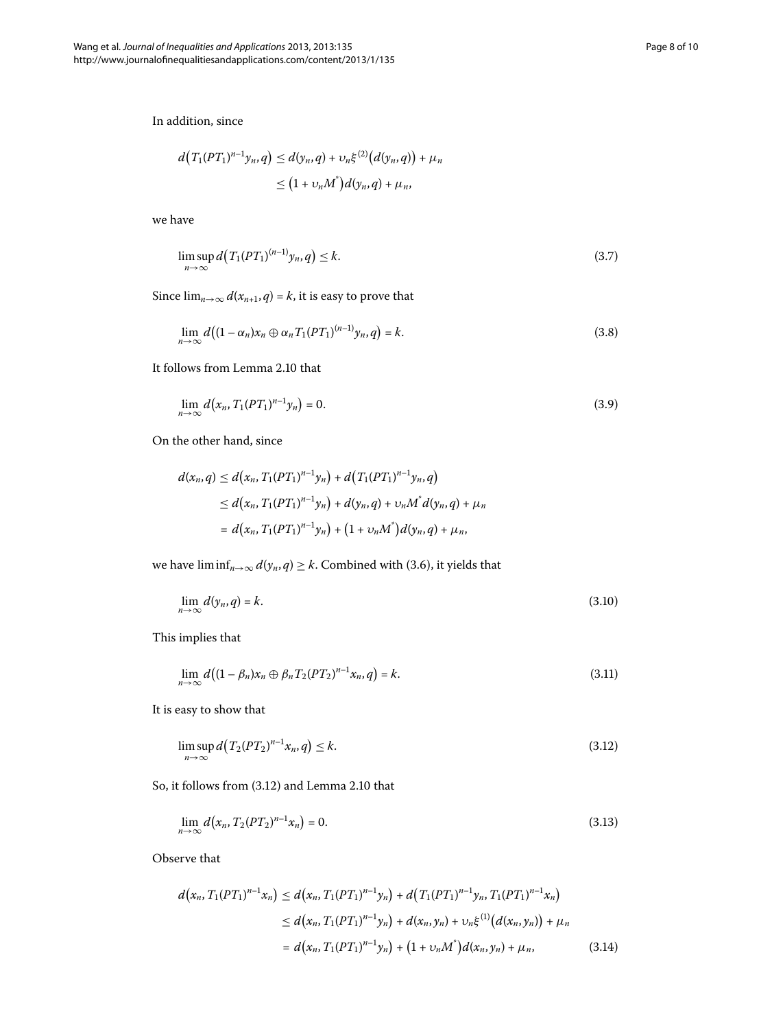In addition, since

$$
d(T_1(PT_1)^{n-1}y_n,q) \leq d(y_n,q) + \nu_n \xi^{(2)}(d(y_n,q)) + \mu_n
$$
  

$$
\leq (1 + \nu_n M^*)d(y_n,q) + \mu_n,
$$

we have

<span id="page-7-2"></span>
$$
\limsup_{n \to \infty} d\big(T_1(PT_1)^{(n-1)}y_n, q\big) \le k. \tag{3.7}
$$

Since  $\lim_{n\to\infty} d(x_{n+1}, q) = k$ , it is easy to prove that

$$
\lim_{n\to\infty} d\big((1-\alpha_n)x_n\oplus\alpha_nT_1(PT_1)^{(n-1)}y_n,q\big)=k.
$$
\n(3.8)

It follows from Lemma 2[.](#page-5-2)10 that

$$
\lim_{n \to \infty} d(x_n, T_1(PT_1)^{n-1} y_n) = 0. \tag{3.9}
$$

On the other hand, since

$$
d(x_n, q) \le d(x_n, T_1(PT_1)^{n-1}y_n) + d(T_1(PT_1)^{n-1}y_n, q)
$$
  
\n
$$
\le d(x_n, T_1(PT_1)^{n-1}y_n) + d(y_n, q) + \nu_n M^* d(y_n, q) + \mu_n
$$
  
\n
$$
= d(x_n, T_1(PT_1)^{n-1}y_n) + (1 + \nu_n M^*) d(y_n, q) + \mu_n,
$$

we have  $\liminf_{n\to\infty} d(y_n, q) \geq k$ [.](#page-6-3) Combined with (3.6), it yields that

$$
\lim_{n \to \infty} d(y_n, q) = k. \tag{3.10}
$$

This implies that

<span id="page-7-1"></span><span id="page-7-0"></span>
$$
\lim_{n\to\infty} d\big((1-\beta_n)x_n\oplus \beta_n T_2(PT_2)^{n-1}x_n,q\big)=k.
$$
\n(3.11)

It is easy to show that

$$
\limsup_{n \to \infty} d\big(T_2(PT_2)^{n-1}x_n, q\big) \le k. \tag{3.12}
$$

<span id="page-7-3"></span>So, it follows from  $(3.12)$  $(3.12)$  $(3.12)$  and Lemma 2.10 that

$$
\lim_{n \to \infty} d(x_n, T_2(PT_2)^{n-1} x_n) = 0. \tag{3.13}
$$

Observe that

$$
d(x_n, T_1(PT_1)^{n-1}x_n) \le d(x_n, T_1(PT_1)^{n-1}y_n) + d(T_1(PT_1)^{n-1}y_n, T_1(PT_1)^{n-1}x_n)
$$
  
\n
$$
\le d(x_n, T_1(PT_1)^{n-1}y_n) + d(x_n, y_n) + \nu_n \xi^{(1)}(d(x_n, y_n)) + \mu_n
$$
  
\n
$$
= d(x_n, T_1(PT_1)^{n-1}y_n) + (1 + \nu_n M^*)d(x_n, y_n) + \mu_n,
$$
\n(3.14)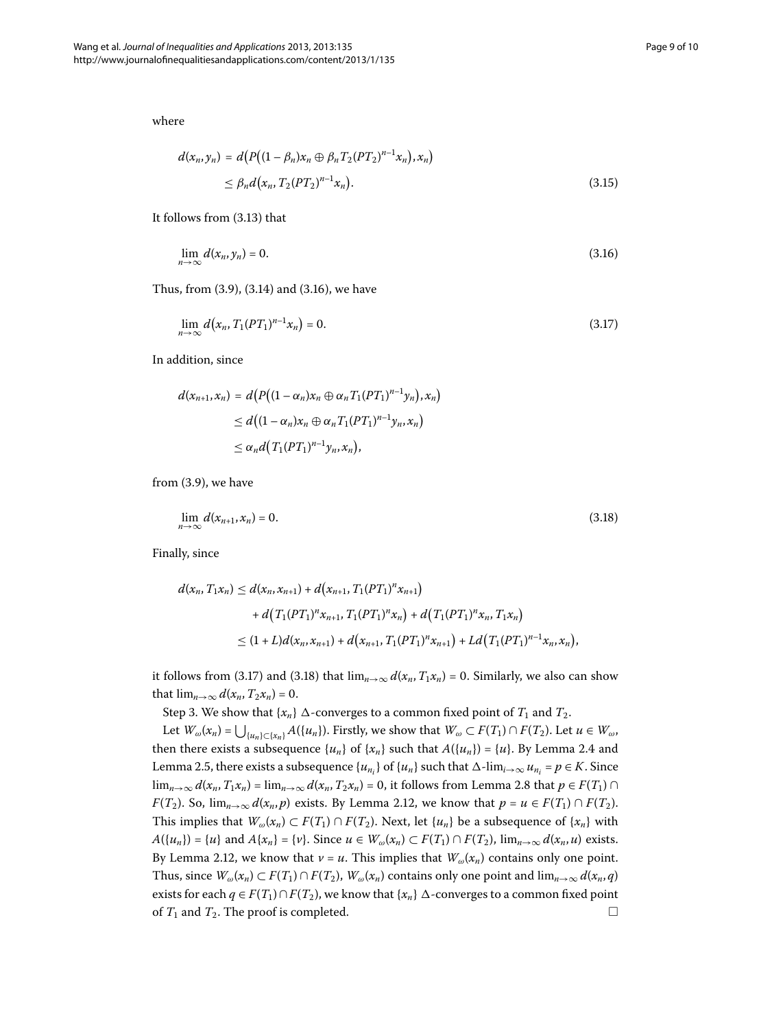where

<span id="page-8-1"></span><span id="page-8-0"></span>
$$
d(x_n, y_n) = d\big(P\big((1 - \beta_n)x_n \oplus \beta_n T_2(PT_2)^{n-1}x_n\big), x_n\big) \\
\leq \beta_n d\big(x_n, T_2(PT_2)^{n-1}x_n\big).
$$
\n(3.15)

It follows from  $(3.13)$  $(3.13)$  $(3.13)$  that

$$
\lim_{n \to \infty} d(x_n, y_n) = 0. \tag{3.16}
$$

Thus, from  $(3.9)$  $(3.9)$  $(3.9)$ ,  $(3.14)$  and  $(3.16)$ , we have

$$
\lim_{n \to \infty} d(x_n, T_1(PT_1)^{n-1} x_n) = 0. \tag{3.17}
$$

In addition, since

<span id="page-8-2"></span>
$$
d(x_{n+1},x_n) = d\big(P\big((1-\alpha_n)x_n \oplus \alpha_n T_1(PT_1)^{n-1}y_n\big),x_n\big)
$$
  
\n
$$
\leq d\big((1-\alpha_n)x_n \oplus \alpha_n T_1(PT_1)^{n-1}y_n,x_n\big)
$$
  
\n
$$
\leq \alpha_n d\big(T_1(PT_1)^{n-1}y_n,x_n\big),
$$

from  $(3.9)$ , we have

$$
\lim_{n \to \infty} d(x_{n+1}, x_n) = 0. \tag{3.18}
$$

Finally, since

$$
d(x_n, T_1x_n) \leq d(x_n, x_{n+1}) + d\big(x_{n+1}, T_1(PT_1)^n x_{n+1}\big) + d\big(T_1(PT_1)^n x_{n+1}, T_1(PT_1)^n x_n\big) + d\big(T_1(PT_1)^n x_n, T_1x_n\big) \leq (1+L)d(x_n, x_{n+1}) + d\big(x_{n+1}, T_1(PT_1)^n x_{n+1}\big) + Ld\big(T_1(PT_1)^{n-1} x_n, x_n\big),
$$

it follows from (3.17) and (3.18) that  $\lim_{n\to\infty} d(x_n, T_1x_n) = 0$ . Similarly, we also can show that  $\lim_{n\to\infty} d(x_n, T_2x_n) = 0$ .

Step 3. We show that  $\{x_n\}$   $\Delta$ -converges to a common fixed point of  $T_1$  and  $T_2$ .

Let  $W_\omega(x_n) = \bigcup_{\{u_n\} \subset \{x_n\}} A(\{u_n\})$ . Firstly, we show that  $W_\omega \subset F(T_1) \cap F(T_2)$ . Let  $u \in W_\omega$ , then there exists a subsequence  $\{u_n\}$  of  $\{x_n\}$  such that  $A(\{u_n\}) = \{u\}$ [.](#page-3-3) By Lemma 2.4 and Lemma 2[.](#page-3-0)5, there exists a subsequence  $\{u_{n_i}\}$  of  $\{u_n\}$  such that  $\Delta$ -lim<sub>*i*→∞</sub>  $u_{n_i}$  =  $p \in K$ . Since lim<sub>*n*→∞</sub>  $d(x_n, T_1x_n) = \lim_{n\to\infty} d(x_n, T_2x_n) = 0$ , it follows from Lemma 2[.](#page-3-2)8 that  $p \in F(T_1) \cap$ *F*(*T*<sub>2</sub>)[.](#page-5-3) So,  $\lim_{n\to\infty} d(x_n, p)$  exists. By Lemma 2.12, we know that  $p = u \in F(T_1) \cap F(T_2)$ . This implies that  $W_\omega(x_n) \subset F(T_1) \cap F(T_2)$ . Next, let  $\{u_n\}$  be a subsequence of  $\{x_n\}$  with  $A({u_n}) = {u}$  and  $A{x_n} = {v}$ . Since  $u \in W_\omega(x_n) \subset F(T_1) \cap F(T_2)$ ,  $\lim_{n\to\infty} d(x_n, u)$  exists. By Lemma 2[.](#page-5-3)12, we know that  $v = u$ . This implies that  $W_\omega(x_n)$  contains only one point. Thus, since  $W_\omega(x_n) \subset F(T_1) \cap F(T_2)$ ,  $W_\omega(x_n)$  contains only one point and  $\lim_{n\to\infty} d(x_n, q)$ exists for each  $q \in F(T_1) \cap F(T_2)$ , we know that  $\{x_n\}$   $\Delta$ -converges to a common fixed point of  $T_1$  and  $T_2$ . The proof is completed.  $\Box$